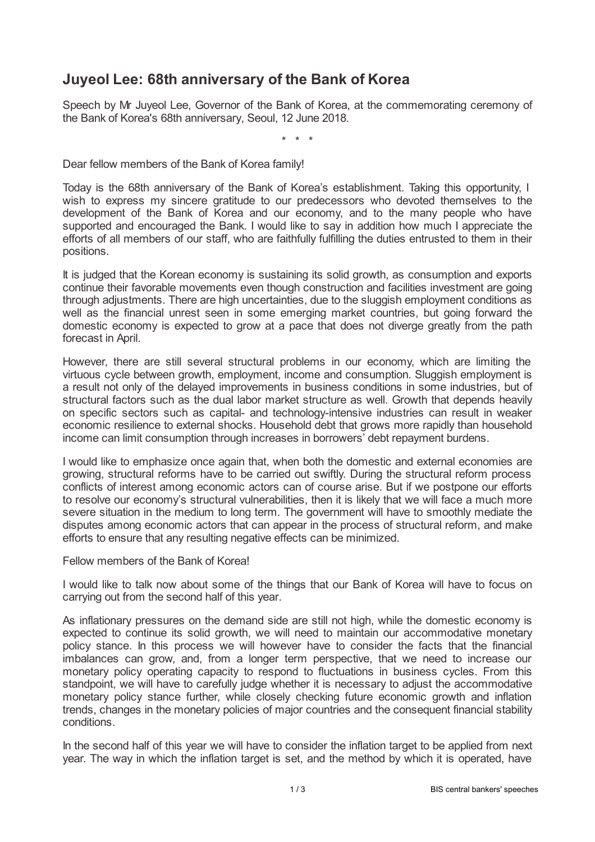## **Juyeol Lee: 68th anniversary of the Bank of Korea**

Speech by Mr Juyeol Lee, Governor of the Bank of Korea, at the commemorating ceremony of the Bank of Korea's 68th anniversary, Seoul, 12 June 2018.

\* \* \*

Dear fellow members of the Bank of Korea family!

Today is the 68th anniversary of the Bank of Korea's establishment. Taking this opportunity, I wish to express my sincere gratitude to our predecessors who devoted themselves to the development of the Bank of Korea and our economy, and to the many people who have supported and encouraged the Bank. I would like to say in addition how much I appreciate the efforts of all members of our staff, who are faithfully fulfilling the duties entrusted to them in their positions.

It is judged that the Korean economy is sustaining its solid growth, as consumption and exports continue their favorable movements even though construction and facilities investment are going through adjustments. There are high uncertainties, due to the sluggish employment conditions as well as the financial unrest seen in some emerging market countries, but going forward the domestic economy is expected to grow at a pace that does not diverge greatly from the path forecast in April.

However, there are still several structural problems in our economy, which are limiting the virtuous cycle between growth, employment, income and consumption. Sluggish employment is a result not only of the delayed improvements in business conditions in some industries, but of structural factors such as the dual labor market structure as well. Growth that depends heavily on specific sectors such as capital- and technology-intensive industries can result in weaker economic resilience to external shocks. Household debt that grows more rapidly than household income can limit consumption through increases in borrowers' debt repayment burdens.

I would like to emphasize once again that, when both the domestic and external economies are growing, structural reforms have to be carried out swiftly. During the structural reform process conflicts of interest among economic actors can of course arise. But if we postpone our efforts to resolve our economy's structural vulnerabilities, then it is likely that we will face a much more severe situation in the medium to long term. The government will have to smoothly mediate the disputes among economic actors that can appear in the process of structural reform, and make efforts to ensure that any resulting negative effects can be minimized.

## Fellow members of the Bank of Korea!

I would like to talk now about some of the things that our Bank of Korea will have to focus on carrying out from the second half of this year.

As inflationary pressures on the demand side are still not high, while the domestic economy is expected to continue its solid growth, we will need to maintain our accommodative monetary policy stance. In this process we will however have to consider the facts that the financial imbalances can grow, and, from a longer term perspective, that we need to increase our monetary policy operating capacity to respond to fluctuations in business cycles. From this standpoint, we will have to carefully judge whether it is necessary to adjust the accommodative monetary policy stance further, while closely checking future economic growth and inflation trends, changes in the monetary policies of major countries and the consequent financial stability conditions.

In the second half of this year we will have to consider the inflation target to be applied from next year. The way in which the inflation target is set, and the method by which it is operated, have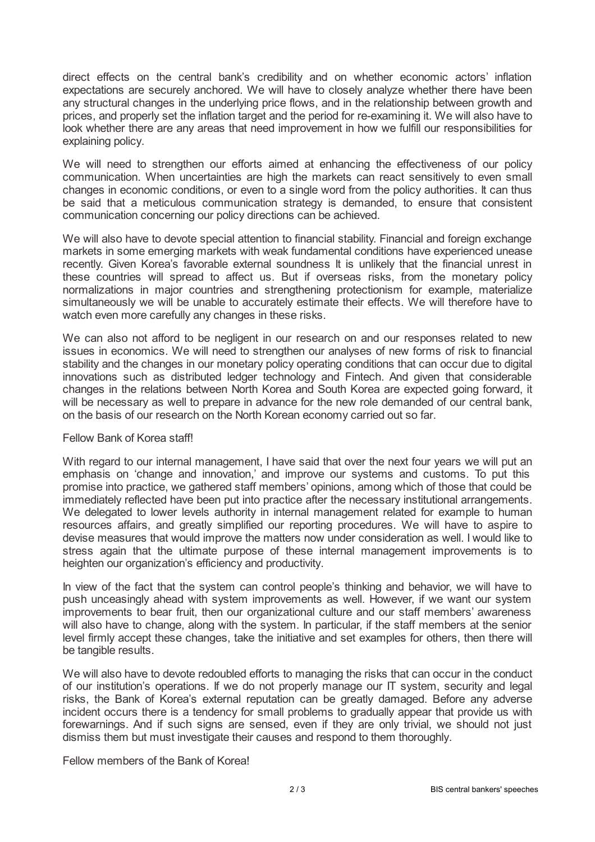direct effects on the central bank's credibility and on whether economic actors' inflation expectations are securely anchored. We will have to closely analyze whether there have been any structural changes in the underlying price flows, and in the relationship between growth and prices, and properly set the inflation target and the period for re-examining it. We will also have to look whether there are any areas that need improvement in how we fulfill our responsibilities for explaining policy.

We will need to strengthen our efforts aimed at enhancing the effectiveness of our policy communication. When uncertainties are high the markets can react sensitively to even small changes in economic conditions, or even to a single word from the policy authorities. It can thus be said that a meticulous communication strategy is demanded, to ensure that consistent communication concerning our policy directions can be achieved.

We will also have to devote special attention to financial stability. Financial and foreign exchange markets in some emerging markets with weak fundamental conditions have experienced unease recently. Given Korea's favorable external soundness It is unlikely that the financial unrest in these countries will spread to affect us. But if overseas risks, from the monetary policy normalizations in major countries and strengthening protectionism for example, materialize simultaneously we will be unable to accurately estimate their effects. We will therefore have to watch even more carefully any changes in these risks.

We can also not afford to be negligent in our research on and our responses related to new issues in economics. We will need to strengthen our analyses of new forms of risk to financial stability and the changes in our monetary policy operating conditions that can occur due to digital innovations such as distributed ledger technology and Fintech. And given that considerable changes in the relations between North Korea and South Korea are expected going forward, it will be necessary as well to prepare in advance for the new role demanded of our central bank, on the basis of our research on the North Korean economy carried out so far.

## Fellow Bank of Korea staff!

With regard to our internal management, I have said that over the next four years we will put an emphasis on 'change and innovation,' and improve our systems and customs. To put this promise into practice, we gathered staff members' opinions, among which of those that could be immediately reflected have been put into practice after the necessary institutional arrangements. We delegated to lower levels authority in internal management related for example to human resources affairs, and greatly simplified our reporting procedures. We will have to aspire to devise measures that would improve the matters now under consideration as well. I would like to stress again that the ultimate purpose of these internal management improvements is to heighten our organization's efficiency and productivity.

In view of the fact that the system can control people's thinking and behavior, we will have to push unceasingly ahead with system improvements as well. However, if we want our system improvements to bear fruit, then our organizational culture and our staff members' awareness will also have to change, along with the system. In particular, if the staff members at the senior level firmly accept these changes, take the initiative and set examples for others, then there will be tangible results.

We will also have to devote redoubled efforts to managing the risks that can occur in the conduct of our institution's operations. If we do not properly manage our IT system, security and legal risks, the Bank of Korea's external reputation can be greatly damaged. Before any adverse incident occurs there is a tendency for small problems to gradually appear that provide us with forewarnings. And if such signs are sensed, even if they are only trivial, we should not just dismiss them but must investigate their causes and respond to them thoroughly.

Fellow members of the Bank of Korea!